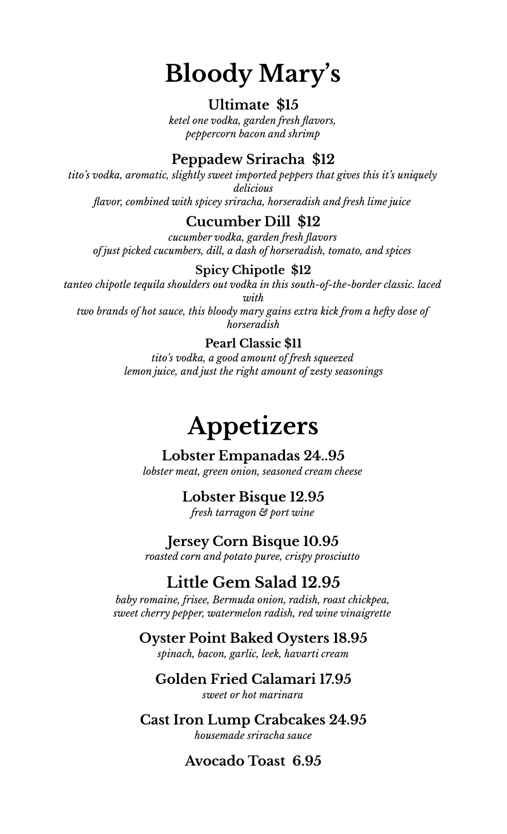# **Bloody Mary 's**

#### **Ultimate \$15**

*ketel one vodka, garden fresh flavors, peppercorn bacon and shrimp*

## **Peppadew Sriracha \$12**

*tito's vodka, aromatic, slightly sweet imported peppers that gives this it's uniquely delicious flavor, combined with spicey sriracha, horseradish and fresh lime juice*

### **Cucumber Dill \$12**

*cucumber vodka, garden fresh flavors of just picked cucumbers, dill, a dash of horseradish, tomato, and spices*

#### **Spicy Chipotle \$12**

*tanteo chipotle tequila shoulders out vodka in this south-of-the-border classic. laced with two brands of hot sauce, this bloody mary gains extra kick from a hefty dose of*

*horseradish*

#### **Pearl Classic \$11**

*tito's vodka, a good amount of fresh squeezed lemon juice, and just the right amount of zesty seasonings*

# **Appetizers**

#### **Lobster Empanadas 24..95**

*lobster meat, green onion, seasoned cream cheese*

### **Lobster Bisque 12.95**

*fresh tarragon & port wine*

### **Jersey Corn Bisque 10.95**

*roasted corn and potato puree, crispy prosciutto*

# **Little Gem Salad 12.95**

*baby romaine, frisee, Bermuda onion, radish, roast chickpea, sweet cherry pepper, watermelon radish, red wine vinaigrette*

#### **Oyster Point Baked Oysters 18.95**

*spinach, bacon, garlic, leek, havarti cream*

#### **Golden Fried Calamari 17.95** *sweet or hot marinara*

**Cast Iron Lump Crabcakes 24.95** *housemade sriracha sauce*

### **Avocado Toast 6.95**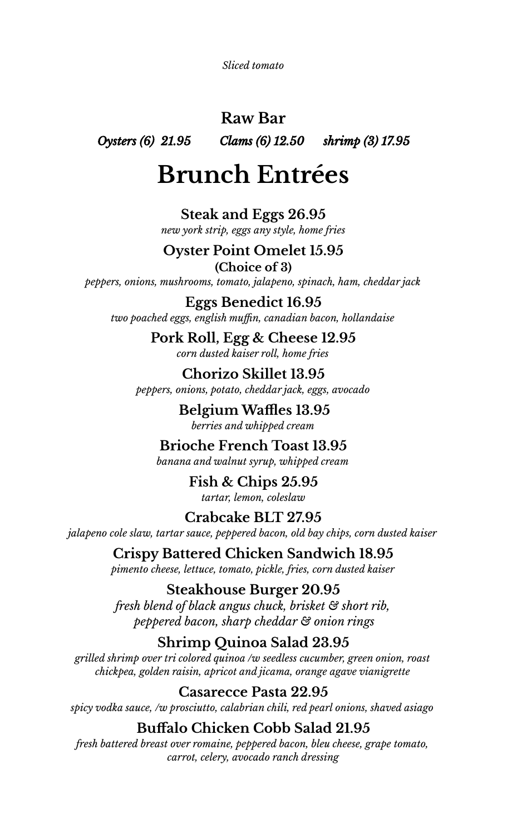*Sliced tomato*

# **Raw Bar**

*Oysters (6) 21.95 Clams (6) 12.50 shrimp (3) 17.95*

# **Brunch Entrées**

**Steak and Eggs 26.95** *new york strip, eggs any style, home fries*

## **Oyster Point Omelet 15.95**

**(Choice of 3)** *peppers, onions, mushrooms, tomato, jalapeno, spinach, ham, cheddar jack*

**Eggs Benedict 16.95** *two poached eggs, english muffin, canadian bacon, hollandaise*

> **Pork Roll, Egg & Cheese 12.95** *corn dusted kaiser roll, home fries*

**Chorizo Skillet 13.95** *peppers, onions, potato, cheddar jack, eggs, avocado*

> **Belgium Waffles 13.95** *berries and whipped cream*

**Brioche French Toast 13.95** *banana and walnut syrup, whipped cream*

> **Fish & Chips 25.95** *tartar, lemon, coleslaw*

# **Crabcake BLT 27.95**

*jalapeno cole slaw, tartar sauce, peppered bacon, old bay chips, corn dusted kaiser*

**Crispy Battered Chicken Sandwich 18.95** *pimento cheese, lettuce, tomato, pickle, fries, corn dusted kaiser*

### **Steakhouse Burger 20.95**

*fresh blend of black angus chuck, brisket & short rib, peppered bacon, sharp cheddar & onion rings*

# **Shrimp Quinoa Salad 23.95**

*grilled shrimp over tri colored quinoa /w seedless cucumber, green onion, roast chickpea, golden raisin, apricot and jicama, orange agave vianigrette*

**Casarecce Pasta 22.95**

*spicy vodka sauce, /w prosciutto, calabrian chili, red pearl onions, shaved asiago*

## **Buffalo Chicken Cobb Salad 21.95**

*fresh battered breast over romaine, peppered bacon, bleu cheese, grape tomato, carrot, celery, avocado ranch dressing*